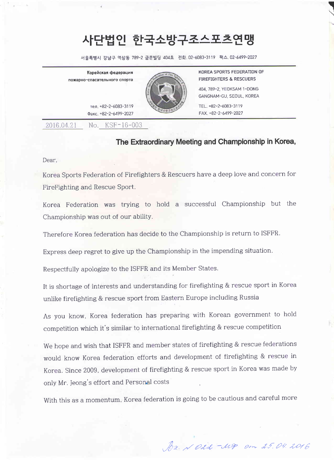## ^lEE 사단법인 한국소방구조스포츠연맹

서울특별시 강남구 역삼동 789-2 금문빌딩 404호 전화.02-6083-3119 팩스.02-6499-2027<br>

Корейская федерация пожарно-спасательного спорта



KOREA SPORTS FEDERATION OF FIREFIGHTERS & RESCUERS

 $\overline{\phantom{a}}$  $\overline{a}$ 

404, 789-2, YE0KSAM 1 -D0NG GANGNAM-GU, SEOUL, KOREA

TEL. +82-2-6083-31 19 FAx. +82-2-6499-2027

ren. +82-2-6083-31 1 <sup>9</sup> Qaxc. +82-2-6499-2027

2016.04.21 No. KSF-16-003

## The Extraordinary Meeting and Championship in Korea,

Dear,

Korea Sports Federation of Firefighters & Rescuers have a deep love and concern for FireFighting and Rescue Sport.

Korea Federation was trying to hold a successful Championship but the Championship was out of our ability.

Therefore Korea federation has decide to the Championship is return to ISFFR.

Express deep regret to give up the Championship in the impending situation.

Respectfully apologize to the ISFFR and its Member States.

It is shortage of interests and understanding for firefighting & rescue sport in Korea unlike firefighting & rescue sport from Eastern Europe including Russia

As you know, Korea federation has preparing with Korean government to hold competition which it's similar to international firefighting & rescue competition

We hope and wish that ISFFR and member states of firefighting & rescue federations would know Korea federation efforts and development of firefighting & rescue in Korea. Since 2009, development of firefighting & rescue sport in Korea was made by only Mr. Jeong's effort and Personal costs

With this as a momentum, Korea federation is going to be cautious and careful more

Dr. NO2d -MP om 25.04.2016